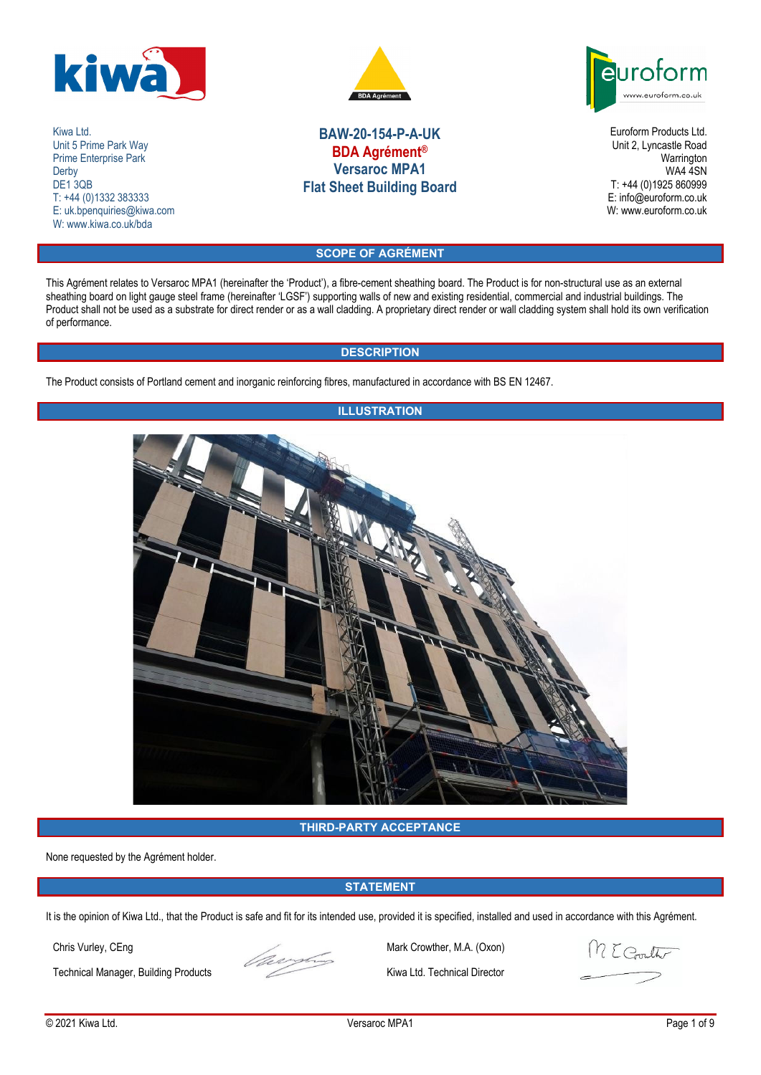

Kiwa Ltd. Unit 5 Prime Park Way Prime Enterprise Park **Derby** DE<sub>1</sub>3QB T: +44 (0)1332 383333 E: uk.bpenquiries@kiwa.com W: www.kiwa.co.uk/bda



# **BAW-20-154-P-A-UK BDA Agrément® Versaroc MPA1 Flat Sheet Building Board**

euroform www.euroform.co.uk

> Euroform Products Ltd. Unit 2, Lyncastle Road Warrington WA4 4SN T: +44 (0)1925 860999 E: info@euroform.co.uk W: www.euroform.co.uk

## **SCOPE OF AGRÉMENT**

This Agrément relates to Versaroc MPA1 (hereinafter the 'Product'), a fibre-cement sheathing board. The Product is for non-structural use as an external sheathing board on light gauge steel frame (hereinafter 'LGSF') supporting walls of new and existing residential, commercial and industrial buildings. The Product shall not be used as a substrate for direct render or as a wall cladding. A proprietary direct render or wall cladding system shall hold its own verification of performance.

## **DESCRIPTION**

The Product consists of Portland cement and inorganic reinforcing fibres, manufactured in accordance with BS EN 12467.



## **THIRD-PARTY ACCEPTANCE**

None requested by the Agrément holder.

## **STATEMENT**

It is the opinion of Kiwa Ltd., that the Product is safe and fit for its intended use, provided it is specified, installed and used in accordance with this Agrément.

Technical Manager, Building Products Kiwa Ltd. Technical Director



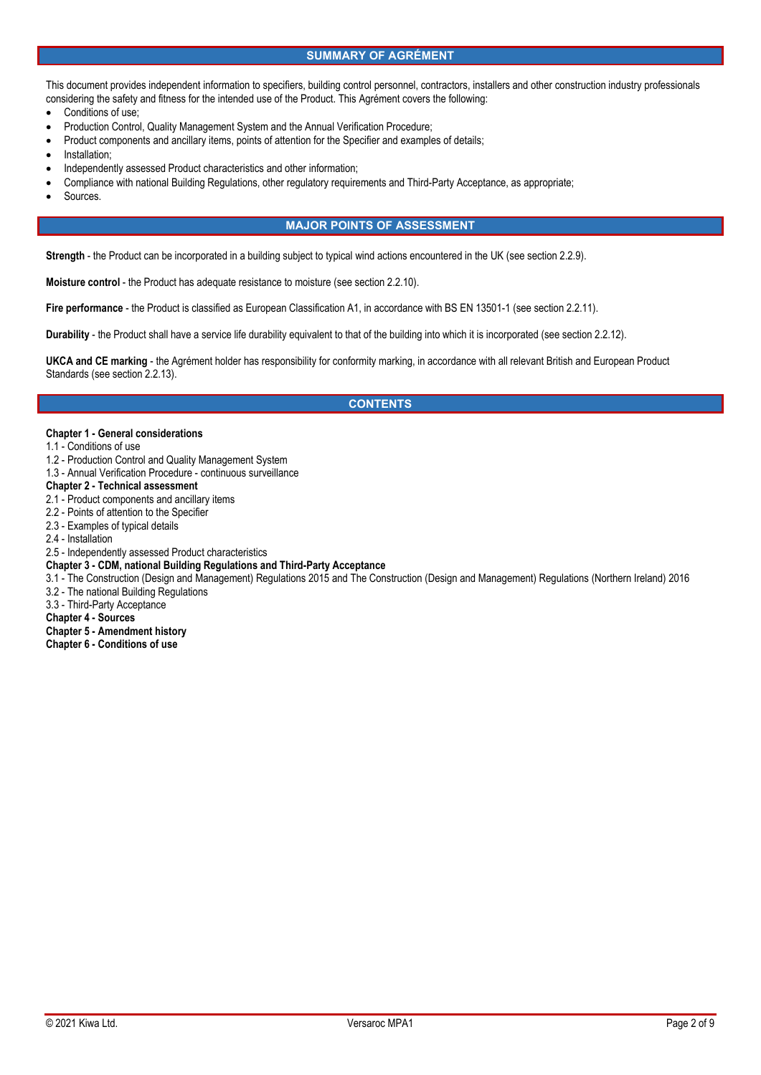## **SUMMARY OF AGRÉMENT**

This document provides independent information to specifiers, building control personnel, contractors, installers and other construction industry professionals considering the safety and fitness for the intended use of the Product. This Agrément covers the following:

- Conditions of use;
- Production Control, Quality Management System and the Annual Verification Procedure;
- Product components and ancillary items, points of attention for the Specifier and examples of details;
- Installation;
- Independently assessed Product characteristics and other information;
- Compliance with national Building Regulations, other regulatory requirements and Third-Party Acceptance, as appropriate;
- Sources.

## **MAJOR POINTS OF ASSESSMENT**

**Strength** - the Product can be incorporated in a building subject to typical wind actions encountered in the UK (see section 2.2.9).

**Moisture control** - the Product has adequate resistance to moisture (see section 2.2.10).

**Fire performance** - the Product is classified as European Classification A1, in accordance with BS EN 13501-1 (see section 2.2.11).

**Durability** - the Product shall have a service life durability equivalent to that of the building into which it is incorporated (see section 2.2.12).

**UKCA and CE marking** - the Agrément holder has responsibility for conformity marking, in accordance with all relevant British and European Product Standards (see section 2.2.13).

## **CONTENTS**

#### **Chapter 1 - General considerations**

- 1.1 Conditions of use
- 1.2 Production Control and Quality Management System
- 1.3 Annual Verification Procedure continuous surveillance
- **Chapter 2 Technical assessment**
- 2.1 Product components and ancillary items
- 2.2 Points of attention to the Specifier
- 2.3 Examples of typical details
- 2.4 Installation
- 2.5 Independently assessed Product characteristics

#### **Chapter 3 - CDM, national Building Regulations and Third-Party Acceptance**

- 3.1 The Construction (Design and Management) Regulations 2015 and The Construction (Design and Management) Regulations (Northern Ireland) 2016
- 3.2 The national Building Regulations
- 3.3 Third-Party Acceptance
- **Chapter 4 Sources**
- **Chapter 5 Amendment history**
- **Chapter 6 Conditions of use**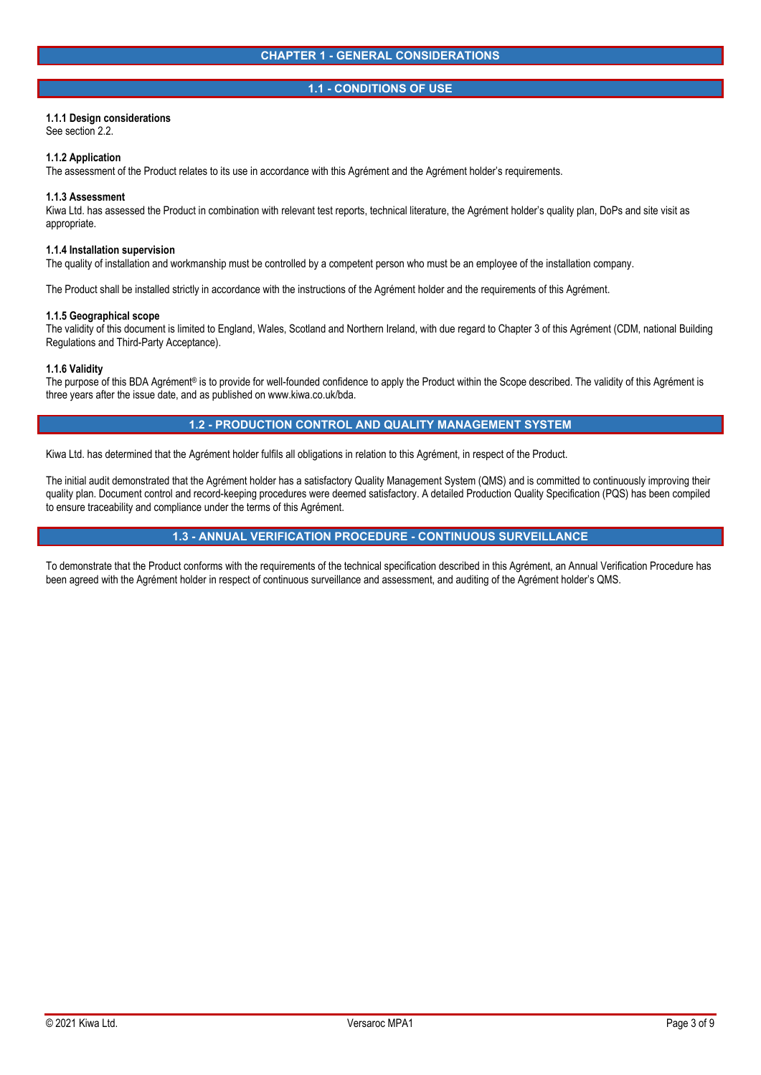## **1.1 - CONDITIONS OF USE**

## **1.1.1 Design considerations**

See section 2.2.

#### **1.1.2 Application**

The assessment of the Product relates to its use in accordance with this Agrément and the Agrément holder's requirements.

#### **1.1.3 Assessment**

Kiwa Ltd. has assessed the Product in combination with relevant test reports, technical literature, the Agrément holder's quality plan, DoPs and site visit as appropriate.

## **1.1.4 Installation supervision**

The quality of installation and workmanship must be controlled by a competent person who must be an employee of the installation company.

The Product shall be installed strictly in accordance with the instructions of the Agrément holder and the requirements of this Agrément.

#### **1.1.5 Geographical scope**

The validity of this document is limited to England, Wales, Scotland and Northern Ireland, with due regard to Chapter 3 of this Agrément (CDM, national Building Regulations and Third-Party Acceptance).

#### **1.1.6 Validity**

The purpose of this BDA Agrément® is to provide for well-founded confidence to apply the Product within the Scope described. The validity of this Agrément is three years after the issue date, and as published on www.kiwa.co.uk/bda.

## **1.2 - PRODUCTION CONTROL AND QUALITY MANAGEMENT SYSTEM**

Kiwa Ltd. has determined that the Agrément holder fulfils all obligations in relation to this Agrément, in respect of the Product.

The initial audit demonstrated that the Agrément holder has a satisfactory Quality Management System (QMS) and is committed to continuously improving their quality plan. Document control and record-keeping procedures were deemed satisfactory. A detailed Production Quality Specification (PQS) has been compiled to ensure traceability and compliance under the terms of this Agrément.

## **1.3 - ANNUAL VERIFICATION PROCEDURE - CONTINUOUS SURVEILLANCE**

To demonstrate that the Product conforms with the requirements of the technical specification described in this Agrément, an Annual Verification Procedure has been agreed with the Agrément holder in respect of continuous surveillance and assessment, and auditing of the Agrément holder's QMS.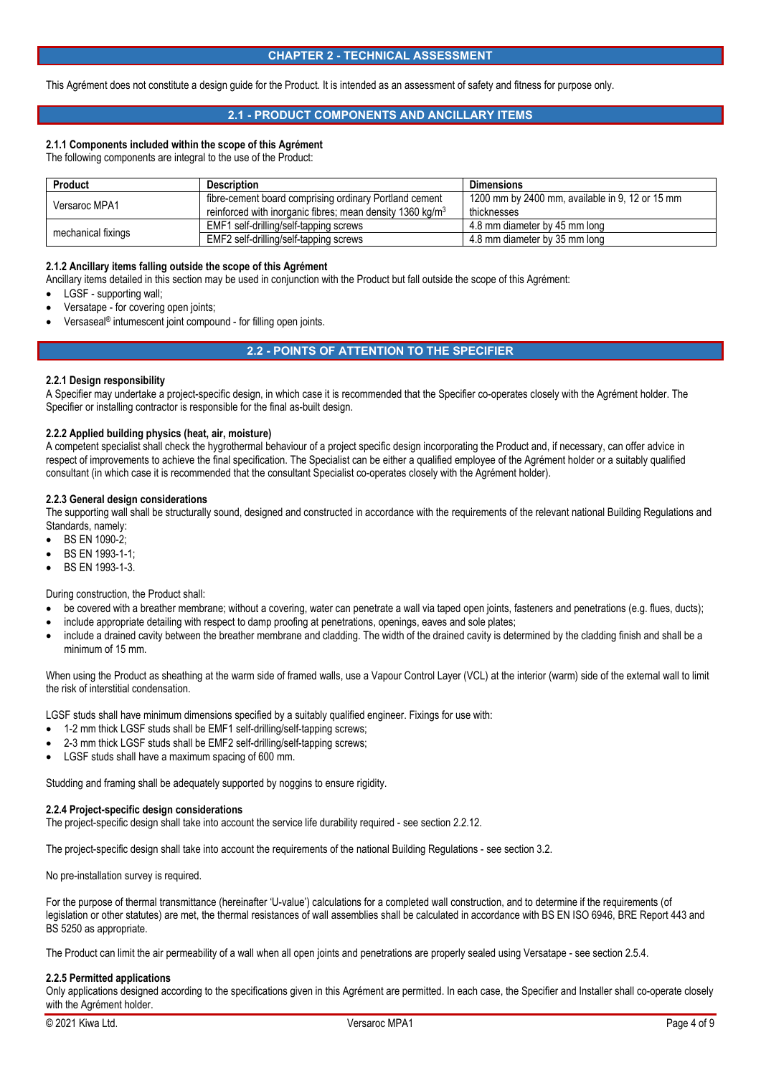## **CHAPTER 2 - TECHNICAL ASSESSMENT**

This Agrément does not constitute a design guide for the Product. It is intended as an assessment of safety and fitness for purpose only.

## **2.1 - PRODUCT COMPONENTS AND ANCILLARY ITEMS**

## **2.1.1 Components included within the scope of this Agrément**

The following components are integral to the use of the Product:

| <b>Product</b>     | <b>Description</b>                                                    | <b>Dimensions</b>                               |
|--------------------|-----------------------------------------------------------------------|-------------------------------------------------|
| Versaroc MPA1      | fibre-cement board comprising ordinary Portland cement                | 1200 mm by 2400 mm, available in 9, 12 or 15 mm |
|                    | reinforced with inorganic fibres; mean density 1360 kg/m <sup>3</sup> | thicknesses                                     |
| mechanical fixings | EMF1 self-drilling/self-tapping screws                                | 4.8 mm diameter by 45 mm long                   |
|                    | EMF2 self-drilling/self-tapping screws                                | 4.8 mm diameter by 35 mm long                   |

#### **2.1.2 Ancillary items falling outside the scope of this Agrément**

Ancillary items detailed in this section may be used in conjunction with the Product but fall outside the scope of this Agrément:

- LGSF supporting wall;
- Versatape for covering open joints;
- Versaseal® intumescent joint compound for filling open joints.

## **2.2 - POINTS OF ATTENTION TO THE SPECIFIER**

#### **2.2.1 Design responsibility**

A Specifier may undertake a project-specific design, in which case it is recommended that the Specifier co-operates closely with the Agrément holder. The Specifier or installing contractor is responsible for the final as-built design.

#### **2.2.2 Applied building physics (heat, air, moisture)**

A competent specialist shall check the hygrothermal behaviour of a project specific design incorporating the Product and, if necessary, can offer advice in respect of improvements to achieve the final specification. The Specialist can be either a qualified employee of the Agrément holder or a suitably qualified consultant (in which case it is recommended that the consultant Specialist co-operates closely with the Agrément holder).

## **2.2.3 General design considerations**

The supporting wall shall be structurally sound, designed and constructed in accordance with the requirements of the relevant national Building Regulations and Standards, namely:

- BS EN 1090-2;
- BS EN 1993-1-1;
- BS EN 1993-1-3.

During construction, the Product shall:

- be covered with a breather membrane; without a covering, water can penetrate a wall via taped open joints, fasteners and penetrations (e.g. flues, ducts);
- include appropriate detailing with respect to damp proofing at penetrations, openings, eaves and sole plates;
- include a drained cavity between the breather membrane and cladding. The width of the drained cavity is determined by the cladding finish and shall be a minimum of 15 mm.

When using the Product as sheathing at the warm side of framed walls, use a Vapour Control Layer (VCL) at the interior (warm) side of the external wall to limit the risk of interstitial condensation.

LGSF studs shall have minimum dimensions specified by a suitably qualified engineer. Fixings for use with:

- 1-2 mm thick LGSF studs shall be EMF1 self-drilling/self-tapping screws;
- 2-3 mm thick LGSF studs shall be EMF2 self-drilling/self-tapping screws;
- LGSF studs shall have a maximum spacing of 600 mm.

Studding and framing shall be adequately supported by noggins to ensure rigidity.

#### **2.2.4 Project-specific design considerations**

The project-specific design shall take into account the service life durability required - see section 2.2.12.

The project-specific design shall take into account the requirements of the national Building Regulations - see section 3.2.

No pre-installation survey is required.

For the purpose of thermal transmittance (hereinafter 'U-value') calculations for a completed wall construction, and to determine if the requirements (of legislation or other statutes) are met, the thermal resistances of wall assemblies shall be calculated in accordance with BS EN ISO 6946, BRE Report 443 and BS 5250 as appropriate.

The Product can limit the air permeability of a wall when all open joints and penetrations are properly sealed using Versatape - see section 2.5.4.

#### **2.2.5 Permitted applications**

Only applications designed according to the specifications given in this Agrément are permitted. In each case, the Specifier and Installer shall co-operate closely with the Agrément holder.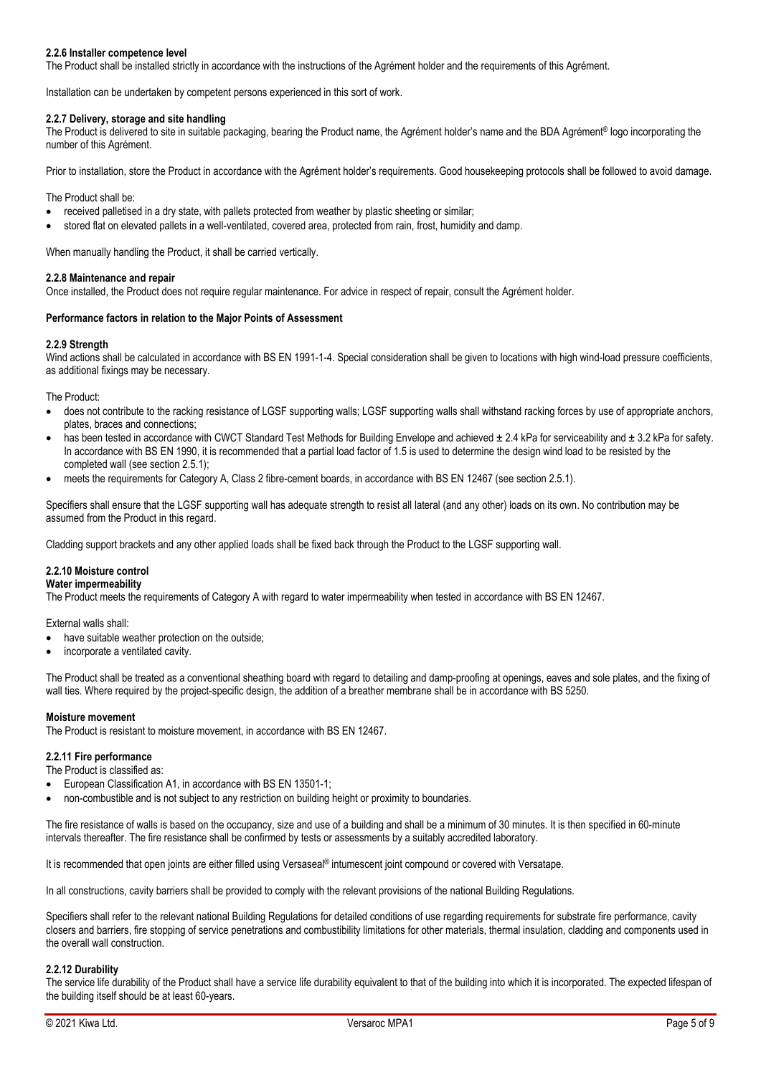## **2.2.6 Installer competence level**

The Product shall be installed strictly in accordance with the instructions of the Agrément holder and the requirements of this Agrément.

Installation can be undertaken by competent persons experienced in this sort of work.

## **2.2.7 Delivery, storage and site handling**

The Product is delivered to site in suitable packaging, bearing the Product name, the Agrément holder's name and the BDA Agrément® logo incorporating the number of this Agrément.

Prior to installation, store the Product in accordance with the Agrément holder's requirements. Good housekeeping protocols shall be followed to avoid damage.

The Product shall be:

- received palletised in a dry state, with pallets protected from weather by plastic sheeting or similar;
- stored flat on elevated pallets in a well-ventilated, covered area, protected from rain, frost, humidity and damp.

When manually handling the Product, it shall be carried vertically.

#### **2.2.8 Maintenance and repair**

Once installed, the Product does not require regular maintenance. For advice in respect of repair, consult the Agrément holder.

#### **Performance factors in relation to the Major Points of Assessment**

#### **2.2.9 Strength**

Wind actions shall be calculated in accordance with BS EN 1991-1-4. Special consideration shall be given to locations with high wind-load pressure coefficients, as additional fixings may be necessary.

The Product:

- does not contribute to the racking resistance of LGSF supporting walls; LGSF supporting walls shall withstand racking forces by use of appropriate anchors, plates, braces and connections;
- has been tested in accordance with CWCT Standard Test Methods for Building Envelope and achieved ± 2.4 kPa for serviceability and ± 3.2 kPa for safety. In accordance with BS EN 1990, it is recommended that a partial load factor of 1.5 is used to determine the design wind load to be resisted by the completed wall (see section 2.5.1);
- meets the requirements for Category A, Class 2 fibre-cement boards, in accordance with BS EN 12467 (see section 2.5.1).

Specifiers shall ensure that the LGSF supporting wall has adequate strength to resist all lateral (and any other) loads on its own. No contribution may be assumed from the Product in this regard.

Cladding support brackets and any other applied loads shall be fixed back through the Product to the LGSF supporting wall.

## **2.2.10 Moisture control**

## **Water impermeability**

The Product meets the requirements of Category A with regard to water impermeability when tested in accordance with BS EN 12467.

External walls shall:

- have suitable weather protection on the outside;
- incorporate a ventilated cavity.

The Product shall be treated as a conventional sheathing board with regard to detailing and damp-proofing at openings, eaves and sole plates, and the fixing of wall ties. Where required by the project-specific design, the addition of a breather membrane shall be in accordance with BS 5250.

#### **Moisture movement**

The Product is resistant to moisture movement, in accordance with BS EN 12467.

## **2.2.11 Fire performance**

The Product is classified as:

- European Classification A1, in accordance with BS EN 13501-1;
- non-combustible and is not subject to any restriction on building height or proximity to boundaries.

The fire resistance of walls is based on the occupancy, size and use of a building and shall be a minimum of 30 minutes. It is then specified in 60-minute intervals thereafter. The fire resistance shall be confirmed by tests or assessments by a suitably accredited laboratory.

It is recommended that open joints are either filled using Versaseal® intumescent joint compound or covered with Versatape.

In all constructions, cavity barriers shall be provided to comply with the relevant provisions of the national Building Regulations.

Specifiers shall refer to the relevant national Building Regulations for detailed conditions of use regarding requirements for substrate fire performance, cavity closers and barriers, fire stopping of service penetrations and combustibility limitations for other materials, thermal insulation, cladding and components used in the overall wall construction.

#### **2.2.12 Durability**

The service life durability of the Product shall have a service life durability equivalent to that of the building into which it is incorporated. The expected lifespan of the building itself should be at least 60-years.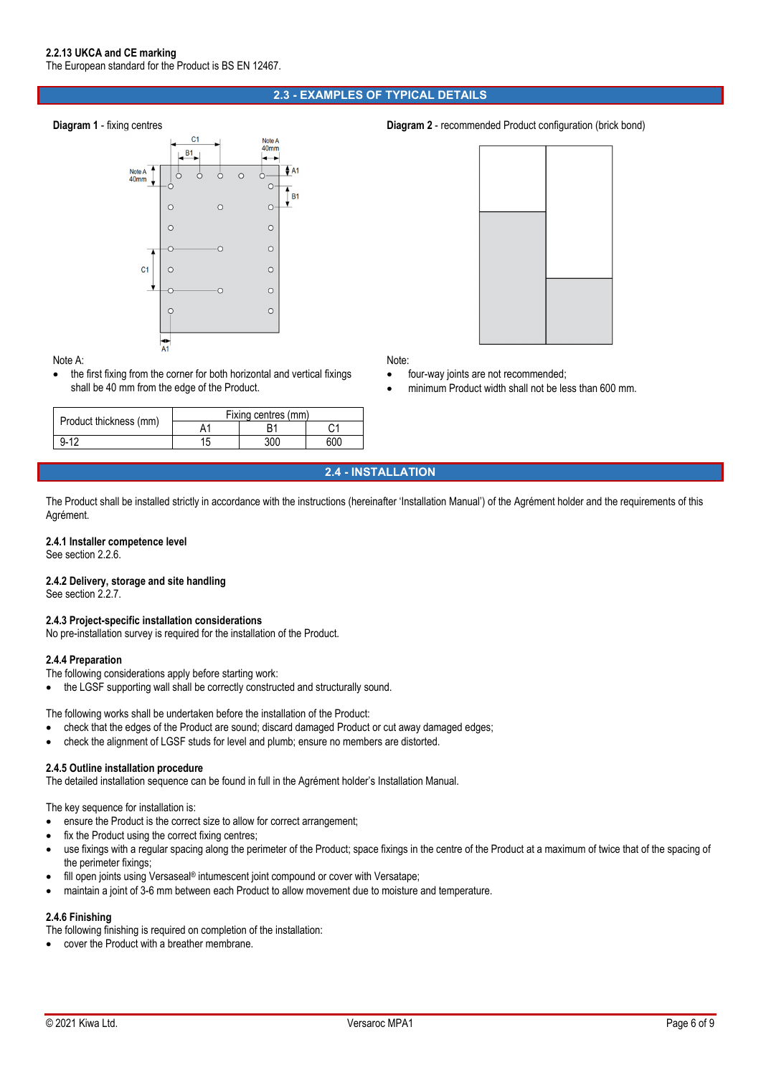## **2.3 - EXAMPLES OF TYPICAL DETAILS**



#### Note A:

 the first fixing from the corner for both horizontal and vertical fixings shall be 40 mm from the edge of the Product.

|                        | Fixing centres (mm) |     |     |  |
|------------------------|---------------------|-----|-----|--|
| Product thickness (mm) |                     |     | ⌒⊿  |  |
| $9 - 12$               | 15                  | 300 | 600 |  |

## **Diagram 1** - fixing centres **Diagram 2** - recommended Product configuration (brick bond)



Note:

- four-way joints are not recommended;
- minimum Product width shall not be less than 600 mm.

**2.4 - INSTALLATION** 

The Product shall be installed strictly in accordance with the instructions (hereinafter 'Installation Manual') of the Agrément holder and the requirements of this Agrément.

## **2.4.1 Installer competence level**

See section 2.2.6.

#### **2.4.2 Delivery, storage and site handling**

See section 2.2.7.

## **2.4.3 Project-specific installation considerations**

No pre-installation survey is required for the installation of the Product.

#### **2.4.4 Preparation**

The following considerations apply before starting work:

the LGSF supporting wall shall be correctly constructed and structurally sound.

The following works shall be undertaken before the installation of the Product:

- check that the edges of the Product are sound; discard damaged Product or cut away damaged edges;
- check the alignment of LGSF studs for level and plumb; ensure no members are distorted.

## **2.4.5 Outline installation procedure**

The detailed installation sequence can be found in full in the Agrément holder's Installation Manual.

The key sequence for installation is:

- ensure the Product is the correct size to allow for correct arrangement;
- fix the Product using the correct fixing centres;
- use fixings with a regular spacing along the perimeter of the Product; space fixings in the centre of the Product at a maximum of twice that of the spacing of the perimeter fixings;
- fill open joints using Versaseal® intumescent joint compound or cover with Versatape;
- maintain a joint of 3-6 mm between each Product to allow movement due to moisture and temperature.

## **2.4.6 Finishing**

The following finishing is required on completion of the installation:

cover the Product with a breather membrane.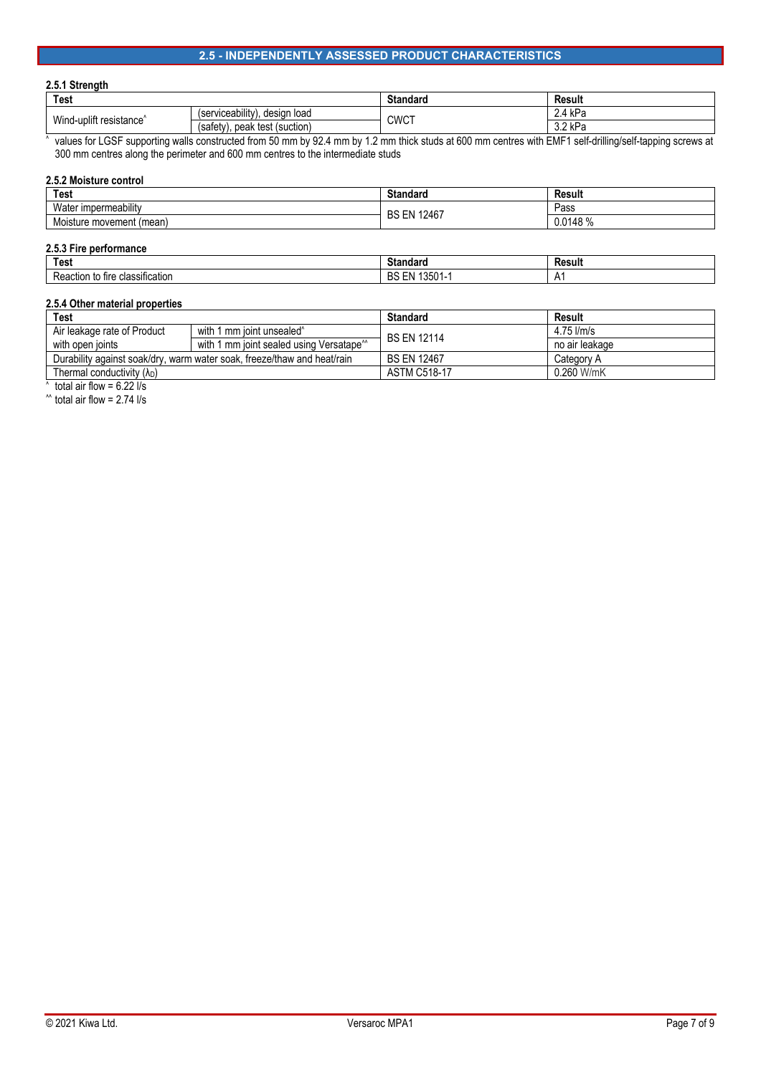## **2.5 - INDEPENDENTLY ASSESSED PRODUCT CHARACTERISTICS**

## **2.5.1 Strength**

| Test                                |                                        | <b>Standard</b> | Result                       |
|-------------------------------------|----------------------------------------|-----------------|------------------------------|
| Wind-uplift resistance <sup>^</sup> | (serviceability)<br>desian<br>ı load   | <b>CWCT</b>     | 4VD <sub>2</sub><br>NL.      |
|                                     | (safety).<br>test<br>(suction)<br>peak |                 | ົ^ レD <sub>∩</sub><br>J.ZN a |

^ values for LGSF supporting walls constructed from 50 mm by 92.4 mm by 1.2 mm thick studs at 600 mm centres with EMF1 self-drilling/self-tapping screws at 300 mm centres along the perimeter and 600 mm centres to the intermediate studs

| 2.5.2 Moisture control   |                    |             |  |
|--------------------------|--------------------|-------------|--|
| Test                     | Standard           | Result      |  |
| Water impermeability     | <b>BS EN 12467</b> | Pass        |  |
| Moisture movement (mean) |                    | $0.0148~\%$ |  |
|                          |                    |             |  |

| 2.5.3 Fi<br><b>tormance</b><br>. ne<br>⊤ıre                                    |                                  |                          |  |
|--------------------------------------------------------------------------------|----------------------------------|--------------------------|--|
| <b>Test</b>                                                                    | <b>Ctondora</b><br>anuaru<br>ייכ | Result                   |  |
| $\overline{\phantom{a}}$<br>-<br>classification<br>Кe<br>∖ fire<br>ction<br>to | 1000<br>DC<br>טש<br>ו טטטו       | <u>д</u><br>$\mathsf{L}$ |  |

## **2.5.4 Other material properties**

| Test                                                                    |                                                      | <b>Standard</b>     | Result         |
|-------------------------------------------------------------------------|------------------------------------------------------|---------------------|----------------|
| Air leakage rate of Product                                             | with 1 mm joint unsealed <sup>^</sup>                | <b>BS EN 12114</b>  | $4.75$ l/m/s   |
| with open joints                                                        | with 1 mm joint sealed using Versatape <sup>**</sup> |                     | no air leakage |
| Durability against soak/dry, warm water soak, freeze/thaw and heat/rain |                                                      | <b>BS EN 12467</b>  | Category A     |
| Thermal conductivity $(\lambda_D)$                                      |                                                      | <b>ASTM C518-17</b> | 0.260 W/mK     |
|                                                                         |                                                      |                     |                |

^ total air flow =  $6.22$   $\frac{1}{s}$ 

 $^{\prime\prime}$  total air flow = 2.74 l/s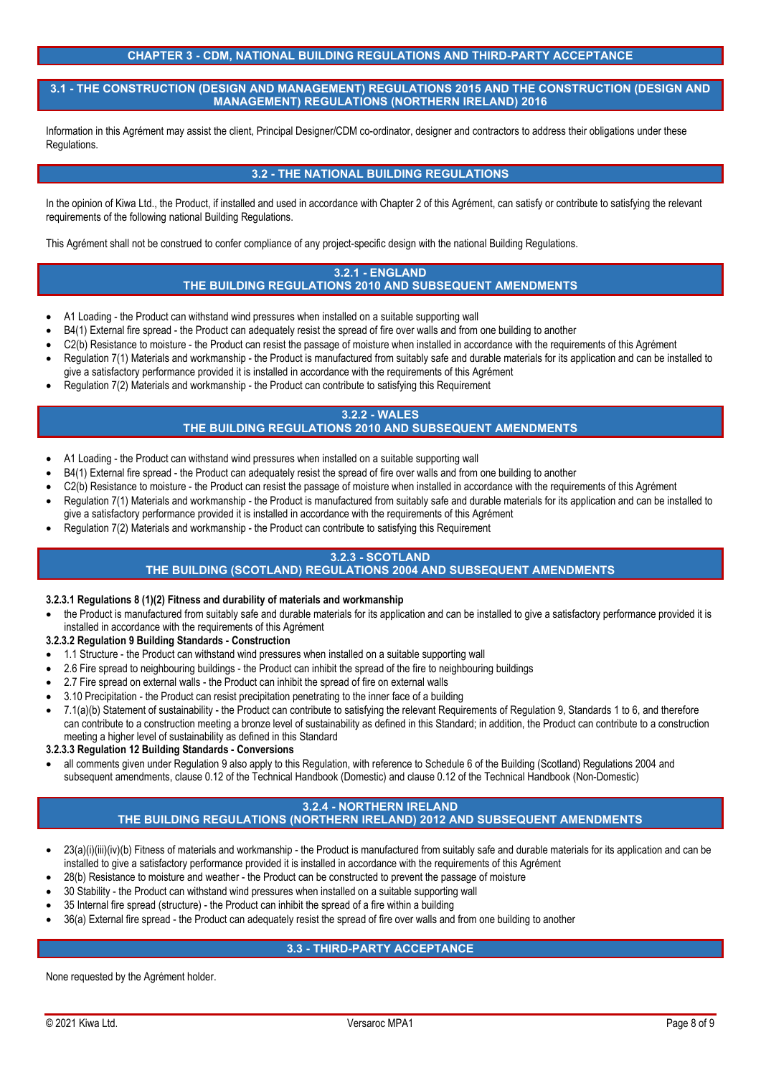## **CHAPTER 3 - CDM, NATIONAL BUILDING REGULATIONS AND THIRD-PARTY ACCEPTANCE**

## **3.1 - THE CONSTRUCTION (DESIGN AND MANAGEMENT) REGULATIONS 2015 AND THE CONSTRUCTION (DESIGN AND MANAGEMENT) REGULATIONS (NORTHERN IRELAND) 2016**

Information in this Agrément may assist the client, Principal Designer/CDM co-ordinator, designer and contractors to address their obligations under these Regulations.

## **3.2 - THE NATIONAL BUILDING REGULATIONS**

In the opinion of Kiwa Ltd., the Product, if installed and used in accordance with Chapter 2 of this Agrément, can satisfy or contribute to satisfying the relevant requirements of the following national Building Regulations.

This Agrément shall not be construed to confer compliance of any project-specific design with the national Building Regulations.

## **3.2.1 - ENGLAND THE BUILDING REGULATIONS 2010 AND SUBSEQUENT AMENDMENTS**

- A1 Loading the Product can withstand wind pressures when installed on a suitable supporting wall
- B4(1) External fire spread the Product can adequately resist the spread of fire over walls and from one building to another
- C<sub>2</sub>(b) Resistance to moisture the Product can resist the passage of moisture when installed in accordance with the requirements of this Agrément
- Regulation 7(1) Materials and workmanship the Product is manufactured from suitably safe and durable materials for its application and can be installed to give a satisfactory performance provided it is installed in accordance with the requirements of this Agrément
- Regulation 7(2) Materials and workmanship the Product can contribute to satisfying this Requirement

## **3.2.2 - WALES**

## **THE BUILDING REGULATIONS 2010 AND SUBSEQUENT AMENDMENTS**

- A1 Loading the Product can withstand wind pressures when installed on a suitable supporting wall
- B4(1) External fire spread the Product can adequately resist the spread of fire over walls and from one building to another
- C2(b) Resistance to moisture the Product can resist the passage of moisture when installed in accordance with the requirements of this Agrément
- Regulation 7(1) Materials and workmanship the Product is manufactured from suitably safe and durable materials for its application and can be installed to give a satisfactory performance provided it is installed in accordance with the requirements of this Agrément
- Regulation 7(2) Materials and workmanship the Product can contribute to satisfying this Requirement

## **3.2.3 - SCOTLAND**

## **THE BUILDING (SCOTLAND) REGULATIONS 2004 AND SUBSEQUENT AMENDMENTS**

## **3.2.3.1 Regulations 8 (1)(2) Fitness and durability of materials and workmanship**

- the Product is manufactured from suitably safe and durable materials for its application and can be installed to give a satisfactory performance provided it is installed in accordance with the requirements of this Agrément
- **3.2.3.2 Regulation 9 Building Standards Construction**
- 1.1 Structure the Product can withstand wind pressures when installed on a suitable supporting wall
- 2.6 Fire spread to neighbouring buildings the Product can inhibit the spread of the fire to neighbouring buildings
- 2.7 Fire spread on external walls the Product can inhibit the spread of fire on external walls
- 3.10 Precipitation the Product can resist precipitation penetrating to the inner face of a building
- 7.1(a)(b) Statement of sustainability the Product can contribute to satisfying the relevant Requirements of Regulation 9, Standards 1 to 6, and therefore can contribute to a construction meeting a bronze level of sustainability as defined in this Standard; in addition, the Product can contribute to a construction meeting a higher level of sustainability as defined in this Standard

## **3.2.3.3 Regulation 12 Building Standards - Conversions**

 all comments given under Regulation 9 also apply to this Regulation, with reference to Schedule 6 of the Building (Scotland) Regulations 2004 and subsequent amendments, clause 0.12 of the Technical Handbook (Domestic) and clause 0.12 of the Technical Handbook (Non-Domestic)

# **3.2.4 - NORTHERN IRELAND**

# **THE BUILDING REGULATIONS (NORTHERN IRELAND) 2012 AND SUBSEQUENT AMENDMENTS**

- 23(a)(i)(iii)(iy)(b) Fitness of materials and workmanship the Product is manufactured from suitably safe and durable materials for its application and can be installed to give a satisfactory performance provided it is installed in accordance with the requirements of this Agrément
- 28(b) Resistance to moisture and weather the Product can be constructed to prevent the passage of moisture
- 30 Stability the Product can withstand wind pressures when installed on a suitable supporting wall
- 35 Internal fire spread (structure) the Product can inhibit the spread of a fire within a building
- 36(a) External fire spread the Product can adequately resist the spread of fire over walls and from one building to another

# **3.3 - THIRD-PARTY ACCEPTANCE**

None requested by the Agrément holder.